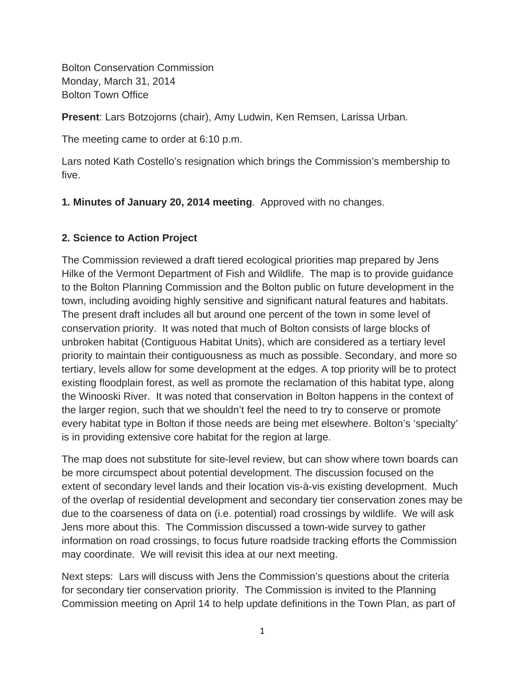Bolton Conservation Commission Monday, March 31, 2014 Bolton Town Office

**Present**: Lars Botzojorns (chair), Amy Ludwin, Ken Remsen, Larissa Urban.

The meeting came to order at 6:10 p.m.

Lars noted Kath Costello's resignation which brings the Commission's membership to five.

**1. Minutes of January 20, 2014 meeting**. Approved with no changes.

### **2. Science to Action Project**

The Commission reviewed a draft tiered ecological priorities map prepared by Jens Hilke of the Vermont Department of Fish and Wildlife. The map is to provide guidance to the Bolton Planning Commission and the Bolton public on future development in the town, including avoiding highly sensitive and significant natural features and habitats. The present draft includes all but around one percent of the town in some level of conservation priority. It was noted that much of Bolton consists of large blocks of unbroken habitat (Contiguous Habitat Units), which are considered as a tertiary level priority to maintain their contiguousness as much as possible. Secondary, and more so tertiary, levels allow for some development at the edges. A top priority will be to protect existing floodplain forest, as well as promote the reclamation of this habitat type, along the Winooski River. It was noted that conservation in Bolton happens in the context of the larger region, such that we shouldn't feel the need to try to conserve or promote every habitat type in Bolton if those needs are being met elsewhere. Bolton's 'specialty' is in providing extensive core habitat for the region at large.

The map does not substitute for site-level review, but can show where town boards can be more circumspect about potential development. The discussion focused on the extent of secondary level lands and their location vis-à-vis existing development. Much of the overlap of residential development and secondary tier conservation zones may be due to the coarseness of data on (i.e. potential) road crossings by wildlife. We will ask Jens more about this. The Commission discussed a town-wide survey to gather information on road crossings, to focus future roadside tracking efforts the Commission may coordinate. We will revisit this idea at our next meeting.

Next steps: Lars will discuss with Jens the Commission's questions about the criteria for secondary tier conservation priority. The Commission is invited to the Planning Commission meeting on April 14 to help update definitions in the Town Plan, as part of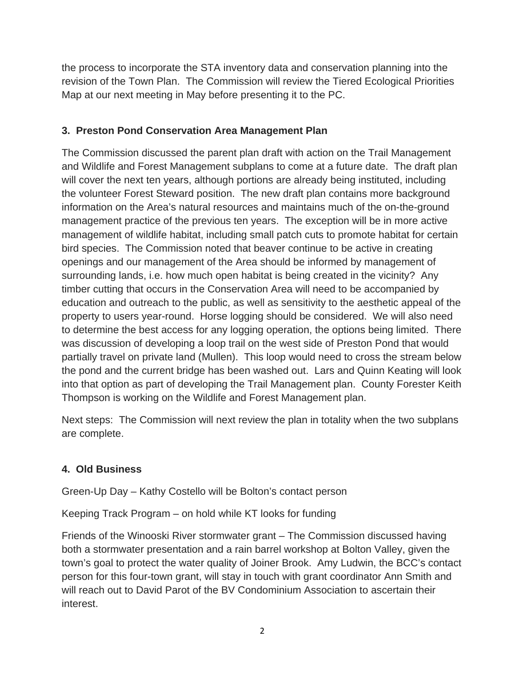the process to incorporate the STA inventory data and conservation planning into the revision of the Town Plan. The Commission will review the Tiered Ecological Priorities Map at our next meeting in May before presenting it to the PC.

# **3. Preston Pond Conservation Area Management Plan**

The Commission discussed the parent plan draft with action on the Trail Management and Wildlife and Forest Management subplans to come at a future date. The draft plan will cover the next ten years, although portions are already being instituted, including the volunteer Forest Steward position. The new draft plan contains more background information on the Area's natural resources and maintains much of the on-the-ground management practice of the previous ten years. The exception will be in more active management of wildlife habitat, including small patch cuts to promote habitat for certain bird species. The Commission noted that beaver continue to be active in creating openings and our management of the Area should be informed by management of surrounding lands, i.e. how much open habitat is being created in the vicinity? Any timber cutting that occurs in the Conservation Area will need to be accompanied by education and outreach to the public, as well as sensitivity to the aesthetic appeal of the property to users year-round. Horse logging should be considered. We will also need to determine the best access for any logging operation, the options being limited. There was discussion of developing a loop trail on the west side of Preston Pond that would partially travel on private land (Mullen). This loop would need to cross the stream below the pond and the current bridge has been washed out. Lars and Quinn Keating will look into that option as part of developing the Trail Management plan. County Forester Keith Thompson is working on the Wildlife and Forest Management plan.

Next steps: The Commission will next review the plan in totality when the two subplans are complete.

## **4. Old Business**

Green-Up Day – Kathy Costello will be Bolton's contact person

Keeping Track Program – on hold while KT looks for funding

Friends of the Winooski River stormwater grant – The Commission discussed having both a stormwater presentation and a rain barrel workshop at Bolton Valley, given the town's goal to protect the water quality of Joiner Brook. Amy Ludwin, the BCC's contact person for this four-town grant, will stay in touch with grant coordinator Ann Smith and will reach out to David Parot of the BV Condominium Association to ascertain their interest.